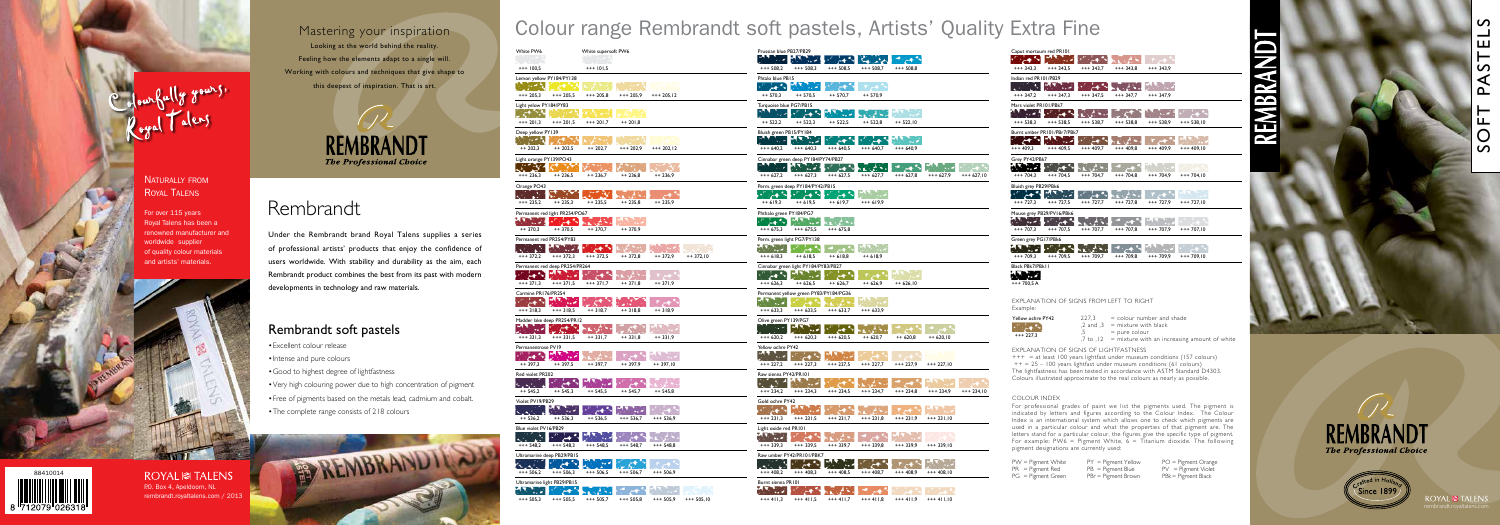P.O. Box 4, Apeldoorn, NL rembrandt.royaltalens.com / 2013

# Colour range Rembrandt soft pastels, Artists' Quality Extra Fine

#### Explanation of signs from left to right Example:

Explanation of signs of lightfastness

 $+++$  = at least 100 years lightfast under museum conditions (157 colours)  $++ = 25 - 100$  years lightfast under museum conditions (61 colours) The lightfastness has been tested in accordance with ASTM Standard D4303. Colours illustrated approximate to the real colours as nearly as possible.

#### COLOUR INDEX

THE PROFESSIONAL CHOICE OF PASSES SOFT PASTELS



Since 1899

- • Excellent colour release
- Intense and pure colours
- • Good to highest degree of lightfastness
- • Very high colouring power due to high concentration of pigment
- • Free of pigments based on the metals lead, cadmium and cobalt.
- The complete range consists of 218 colours



For professional grades of paint we list the pigments used. The pigment is indicated by letters and figures according to the Colour Index. The Colour Index is an international system which allows one to check which pigments are used in a particular colour and what the properties of that pigment are. The letters stand for a particular colour, the figures give the specific type of pigment. For example: PW6 = Pigment White,  $6 = \text{Titanium}$  dioxide. The following pigment designations are currently used:

PW = Pigment White PY = Pigment Yellow PO = Pigment Orange<br>PR = Pigment Red PB = Pigment Blue PV = Pigment Violet PR = Pigment Red PB = Pigment Blue PV = Pigment Violet<br>PG = Pigment Green PBr = Pigment Brown PBk = Pigment Black  $PBr = Pigment Brown$ 

# N

# Rembrandt soft pastels

| Yellow ochre PY42 | 227.3 | $=$ colour number and shade                              |
|-------------------|-------|----------------------------------------------------------|
| <b>STARK</b>      |       | .2 and .3 $=$ mixture with black                         |
| $*** 227.3$       |       | $=$ pure colour                                          |
|                   |       | $7$ to $12$ = mixture with an increasing amount of white |



| Prussian blue PB27/PB29                       |                                                                                                                         |                                                                                                                                                                                                                                  |                                                |                 |             |             |
|-----------------------------------------------|-------------------------------------------------------------------------------------------------------------------------|----------------------------------------------------------------------------------------------------------------------------------------------------------------------------------------------------------------------------------|------------------------------------------------|-----------------|-------------|-------------|
| $\sim$                                        | $\mathcal{L}(\mathcal{L})$ and $\mathcal{L}(\mathcal{L})$<br>$+++508,2$ $+++508,3$                                      | $+++508,5$                                                                                                                                                                                                                       | $+++508,7$                                     | $*** 508,8$     |             |             |
|                                               |                                                                                                                         |                                                                                                                                                                                                                                  |                                                |                 |             |             |
| Phtalo blue PB15<br>* * * * T                 | <b>Service</b>                                                                                                          |                                                                                                                                                                                                                                  | $\overline{r}$ $\overline{c}$ + $\overline{b}$ |                 |             |             |
|                                               | $++ 570,3 ++ 570,5$                                                                                                     | ++ 570,7                                                                                                                                                                                                                         | ++ 570,9                                       |                 |             |             |
| Turquoise blue PG7/PB15                       |                                                                                                                         |                                                                                                                                                                                                                                  |                                                |                 |             |             |
|                                               | <b>Albert Report Follows</b>                                                                                            |                                                                                                                                                                                                                                  | <b>All Control</b>                             | <b>BANK AND</b> |             |             |
| $++ 522,2$                                    | $++ 522,3$                                                                                                              | $++ 522,5$                                                                                                                                                                                                                       | ++ 522,8                                       | $++ 522,10$     |             |             |
| Bluish green PB15/PY184                       |                                                                                                                         |                                                                                                                                                                                                                                  |                                                |                 |             |             |
| $\mathcal{F}^{\mathcal{A}}_{\mathcal{A}}$ and | <b>The Contract of the Contract of the Contract of the Contract of the Contract of the Contract of the Contract of </b> | والمهتز الا                                                                                                                                                                                                                      | <b>PERSONAL PROPERTY</b>                       |                 |             |             |
|                                               | $+++640,2$ $+++640,3$ $+++640,5$                                                                                        |                                                                                                                                                                                                                                  | $+++ 640,7$ $+++ 640,9$                        |                 |             |             |
|                                               | Cinnabar green deep PY184/PY74/PB27                                                                                     |                                                                                                                                                                                                                                  |                                                |                 |             |             |
| <b>ANDRE</b>                                  |                                                                                                                         |                                                                                                                                                                                                                                  |                                                |                 |             |             |
|                                               | $+++627.2$ $+++627.3$ $+++627.5$                                                                                        |                                                                                                                                                                                                                                  | $*** 627.7$                                    | +++ 627,8       | +++ 627,9   | $+++627,10$ |
|                                               | Perm. green deep PY184/PY42/PB15                                                                                        |                                                                                                                                                                                                                                  |                                                |                 |             |             |
|                                               | <b>START STARTS</b>                                                                                                     | که د                                                                                                                                                                                                                             | <u>т т. н</u>                                  |                 |             |             |
| $++ 619,3$                                    | $++ 619,5$                                                                                                              | $++ 619,7$ $++ 619,9$                                                                                                                                                                                                            |                                                |                 |             |             |
| Phthalo green PY184/PG7                       |                                                                                                                         |                                                                                                                                                                                                                                  |                                                |                 |             |             |
|                                               | المتوافق الأناسيات                                                                                                      | Kalistini                                                                                                                                                                                                                        |                                                |                 |             |             |
| $*** 675,3$                                   | +++ 675,5                                                                                                               | $+++ 675,8$                                                                                                                                                                                                                      |                                                |                 |             |             |
|                                               | Perm. green light PG7/PY138                                                                                             |                                                                                                                                                                                                                                  |                                                |                 |             |             |
| 77 Y.                                         |                                                                                                                         |                                                                                                                                                                                                                                  | <b>Barbara</b>                                 |                 |             |             |
|                                               | $+++618,3$ $++618,5$ $++618,8$                                                                                          |                                                                                                                                                                                                                                  | $++ 618,9$                                     |                 |             |             |
|                                               | Cinnabar green light PY184/PY83/PB27                                                                                    |                                                                                                                                                                                                                                  |                                                |                 |             |             |
|                                               |                                                                                                                         |                                                                                                                                                                                                                                  |                                                |                 |             |             |
| $+++626,3$                                    | ++ 626,5                                                                                                                | ++ 626,7                                                                                                                                                                                                                         | ++ 626,9                                       | $++ 626,10$     |             |             |
|                                               | Permanent yellow green PY83/PY184/PG36<br><b>ANDRE STRAND SERVICE</b>                                                   |                                                                                                                                                                                                                                  |                                                |                 |             |             |
|                                               | $+++633,3$ $+++633,5$                                                                                                   | $*** 633,7$                                                                                                                                                                                                                      | +++ 633,9                                      |                 |             |             |
| Olive green PY139/PG7                         |                                                                                                                         |                                                                                                                                                                                                                                  |                                                |                 |             |             |
|                                               |                                                                                                                         | an di sebagai sebagai kecamatan sebagai kecamatan dan sebagai kecamatan dan bersedapai dalam kalimatan dan dal<br>Sebagai kecamatan dan dalam kecamatan dan dalam kecamatan dan dalam kecamatan dan dalam kecamatan dalam kecama |                                                | a.<br>Ka        |             |             |
| $+++ 620,2$                                   | $*** 620,3$                                                                                                             | $*** 620,5$                                                                                                                                                                                                                      | ++ 620,7                                       | ++ 620,8        | $++ 620,10$ |             |
| Yellow ochre PY42                             |                                                                                                                         |                                                                                                                                                                                                                                  |                                                |                 |             |             |
|                                               |                                                                                                                         | n ya kutan mwaka 1945                                                                                                                                                                                                            |                                                |                 |             |             |
|                                               |                                                                                                                         | $++227,2$ $++227,3$ $++227,5$ $++227,7$                                                                                                                                                                                          |                                                | +++ 227,9       | $+++227,10$ |             |
| Raw sienna PY42/PR101                         |                                                                                                                         |                                                                                                                                                                                                                                  |                                                |                 |             |             |
|                                               |                                                                                                                         |                                                                                                                                                                                                                                  |                                                |                 |             |             |
| $+++234,2$                                    | $+++234,3$                                                                                                              | $*** 234.5$                                                                                                                                                                                                                      | $+++234,7$                                     | $*** 234,8$     | $+++ 234.9$ | $+++234,10$ |
| Gold ochre PY42                               |                                                                                                                         |                                                                                                                                                                                                                                  |                                                |                 |             |             |
| s and a                                       | $\mathcal{L} = \mathcal{L}$                                                                                             |                                                                                                                                                                                                                                  |                                                |                 |             |             |
|                                               | $+++231,3$ $+++231,5$                                                                                                   | $+++231,7$                                                                                                                                                                                                                       | $+++ 231,8$                                    | $+++ 231,9$     | $+++231,10$ |             |
| Light oxide red PR101                         |                                                                                                                         |                                                                                                                                                                                                                                  |                                                |                 |             |             |
| المراجعة                                      | والمتعارض                                                                                                               | الأركود                                                                                                                                                                                                                          | د جي م                                         | M.              |             |             |
| $+++339,3$                                    | +++ 339,5                                                                                                               | $***339,7$                                                                                                                                                                                                                       | $***339,8$                                     | $***339,9$      | $+++339,10$ |             |
|                                               | Raw umber PY42/PR101/PBK7                                                                                               |                                                                                                                                                                                                                                  |                                                |                 |             |             |
|                                               | Andrew March 2007                                                                                                       |                                                                                                                                                                                                                                  |                                                |                 | 13 M.J      |             |
| $*** 408,2$ $*** 408,3$                       |                                                                                                                         | $***408,5$                                                                                                                                                                                                                       | +++ 408,7                                      | +++ 408,9       | $+++408,10$ |             |
| Burnt sienna PR101                            |                                                                                                                         |                                                                                                                                                                                                                                  |                                                |                 |             |             |
|                                               |                                                                                                                         |                                                                                                                                                                                                                                  |                                                |                 |             |             |



| White PW6                      |                 | White supersoft PW6 |                |             |            | Prussian blue PB27/PB29        |                                        |                          |                     |                                 |             |
|--------------------------------|-----------------|---------------------|----------------|-------------|------------|--------------------------------|----------------------------------------|--------------------------|---------------------|---------------------------------|-------------|
|                                |                 |                     |                |             |            | $\sim 100$                     |                                        | - 5                      | ఆ                   | H.                              |             |
| $+++100,5$                     |                 | $+++101,5$          |                |             |            | $+++508,2$                     | $*** 508,3$                            | $+++508,5$               | $+++508,7$          | $*** 508,8$                     |             |
| Lemon yellow PY184/PY138       |                 |                     |                |             |            | Phtalo blue PB15               |                                        |                          |                     |                                 |             |
|                                |                 |                     |                |             |            | $+$ $\sim$                     |                                        |                          |                     |                                 |             |
| $+++205,3$                     | $+++205,5$      | $+++205,8$          | $++ 205,9$     | $+++205,12$ |            | $++ 570,3$                     | $++ 570,5$                             | $++ 570,7$               | $++ 570,9$          |                                 |             |
|                                |                 |                     |                |             |            |                                |                                        |                          |                     |                                 |             |
| Light yelow PY184/PY83         |                 |                     |                |             |            | Turquoise blue PG7/PB15        |                                        |                          |                     |                                 |             |
| $\mathcal{R}^{\bullet}$ .      |                 |                     |                |             |            | $\sim 10$                      | ≻                                      |                          |                     |                                 |             |
| $+++ 201,3$                    | $+++201,5$      | $*** 201,7$         | $++ 201,8$     |             |            | $++ 522,2$                     | $++ 522,3$                             | $++ 522,5$               | $++ 522,8$          | $++ 522,10$                     |             |
| Deep yellow PY139              |                 |                     |                |             |            | Bluish green PB15/PY184        |                                        |                          |                     |                                 |             |
| 12 B                           |                 |                     |                |             |            | $\mathbf{A}$ , $\mathbf{A}$    |                                        | ⊶                        |                     | $\mathcal{L}$ and $\mathcal{L}$ |             |
| $++ 202,3$                     | $++ 202,5$      | $++ 202,7$          | $*** 202,9$    | $+++202,12$ |            | $+++ 640,2$                    | $+++ 640,3$                            | $+++ 640,5$              | $+++ 640,7$         | $+++ 640,9$                     |             |
| Light orange PY139/PO43        |                 |                     |                |             |            |                                | Cinnabar green deep PY184/PY74/PB27    |                          |                     |                                 |             |
| A.                             |                 |                     |                |             |            |                                | - 10                                   | <b>Section</b>           | en el est           | ۰                               |             |
| $++ 236,3$                     | $++ 236,5$      | $++ 236,7$          | $++ 236,8$     | $++ 236,9$  |            | $*** 627.2$                    | $++ 627,3$                             | $*** 627,5$              | $*** 627,7$         | $*** 627,8$                     | $*** 627,9$ |
|                                |                 |                     |                |             |            |                                |                                        |                          |                     |                                 |             |
| Orange PO43                    |                 |                     |                |             |            |                                | Perm. green deep PY184/PY42/PB15       |                          |                     |                                 |             |
|                                |                 |                     |                |             |            | ڪي گ                           | -4                                     |                          |                     |                                 |             |
| $+++235,2$                     | $++ 235,3$      | $++ 235,5$          | $++ 235,8$     | $++ 235,9$  |            | $++ 619,3$                     | $++ 619,5$                             | $++ 619,7$               | $+++619,9$          |                                 |             |
| Permanent red light PR254/PO67 |                 |                     |                |             |            | Phthalo green PY184/PG7        |                                        |                          |                     |                                 |             |
| $\mathcal{F}(\mathcal{A})$     | متعهم           | الأثقاء             |                |             |            | interni                        |                                        |                          |                     |                                 |             |
| $++370,3$                      | $++370,5$       | $++370,7$           | $++370,9$      |             |            | $+++ 675,3$                    | $*** 675,5$                            | $*** 675,8$              |                     |                                 |             |
| Permanent red PR254/PY83       |                 |                     |                |             |            |                                | Perm. green light PG7/PY138            |                          |                     |                                 |             |
| аN.                            | <b>Santa Ca</b> | حجز                 | <b>Print</b>   |             |            | $\mathcal{N} \cup \mathcal{N}$ | كالمناصر                               |                          | <b>The Contract</b> |                                 |             |
| $+++372,2$                     | $++372,3$       | $+++372,5$          | $++372,8$      | $++372,9$   | $++372,10$ | $+++618,3$                     | $++ 618,5$                             | $++ 618,8$               | $++ 618,9$          |                                 |             |
|                                |                 |                     |                |             |            |                                |                                        |                          |                     |                                 |             |
| Permanent red deep PR254/PR264 |                 |                     |                |             |            |                                | Cinnabar green light PY184/PY83/PB27   |                          |                     |                                 |             |
| لأقام                          | 25.77           | كالمهر              | 化气压 医子宫        | والهيج الأ  |            | يحصني                          | MA 114                                 | ⊶∿                       | <b>LAT</b>          |                                 |             |
| $+++371.3$                     | $+++371,5$      | $***371,7$          | $++371,8$      | $++371,9$   |            | $+++ 626,3$                    | $++ 626,5$                             | $++ 626,7$               | $++ 626,9$          | $++ 626,10$                     |             |
| Carmine PR176/PR254            |                 |                     |                |             |            |                                | Permanent yellow green PY83/PY184/PG36 |                          |                     |                                 |             |
| لمحام                          |                 | c                   |                | کی جائے ج   |            | ይች አራ                          |                                        |                          | <b>IN THE R</b>     |                                 |             |
| $+++318,3$                     | $+++318,5$      | $++318,7$           | $++318,8$      | $++318,9$   |            | $*** 633,3$                    | $+++ 633,5$                            | $*** 633,7$              | $*** 633,9$         |                                 |             |
| Madder lake deep PR254/PR12    |                 |                     |                |             |            | Olive green PY139/PG7          |                                        |                          |                     |                                 |             |
|                                |                 |                     |                |             |            |                                | ٠.,                                    |                          |                     |                                 |             |
| $+++331,3$                     | $+++331,5$      | $++331,7$           | $++331,8$      | $++331,9$   |            | $+++ 620,2$                    | $*** 620,3$                            | $+++ 620,5$              | $++ 620,7$          | $++ 620,8$                      | $++ 620,10$ |
| Permanentrose PV19             |                 |                     |                |             |            |                                |                                        |                          |                     |                                 |             |
| ل <sup>يا</sup> جيئرا "د       | <b>MARINE</b>   |                     |                |             |            | Yellow ochre PY42<br>77 U.A    |                                        |                          |                     |                                 |             |
|                                | $++397,5$       |                     | ÷<br>$++397,9$ |             |            |                                |                                        |                          |                     |                                 |             |
| $++397,3$                      |                 | $++397,7$           |                | $++397,10$  |            | $+++227,2$                     | $+++227,3$                             | $+++227,5$               | $++ 227,7$          | $++ 227,9$                      | $++227,10$  |
| Red violet PR202               |                 |                     |                |             |            | Raw sienna PY42/PR101          |                                        |                          |                     |                                 |             |
| A.S.                           | ⊶~              | <b>Sales</b>        |                |             |            | 25.                            |                                        |                          |                     |                                 |             |
| $++ 545,2$                     | $++ 545,3$      | $++ 545,5$          | $++ 545,7$     | $++ 545,8$  |            | $++ 234,2$                     | $++ 234,3$                             | $+++234,5$               | $+++234,7$          | $+++234,8$                      | $+++234,9$  |
| Violet PV19/PB29               |                 |                     |                |             |            | Gold ochre PY42                |                                        |                          |                     |                                 |             |
|                                | . <b>.</b>      | $\rightarrow$       | MA 1.2         |             |            |                                |                                        |                          |                     |                                 |             |
| $++ 536,2$                     | $++ 536,3$      | $++ 536,5$          | $*** 536,7$    | $*** 536,9$ |            | $+++ 231,3$                    | $***$ 231,5                            | $+++ 231,7$              | $+++ 231,8$         | $+++ 231,9$                     | $+++231,10$ |
| Blue violet PV16/PB29          |                 |                     |                |             |            | Light oxide red PR101          |                                        |                          |                     |                                 |             |
|                                |                 |                     |                |             |            |                                |                                        |                          |                     |                                 |             |
|                                |                 | <b>A</b>            |                |             |            | ۰.,                            |                                        |                          |                     |                                 |             |
| $+++548,2$                     | $+++548,3$      | $+++548,5$          | $*** 548,7$    | $*** 548,8$ |            | $***339,3$                     | $+++339,5$                             | $+++339,7$               | $***339,8$          | $+++339,9$                      | $+++339,10$ |
| Ultramarine deep PB29/PB15     |                 |                     |                |             |            |                                | Raw umber PY42/PR101/PBK7              |                          |                     |                                 |             |
| ж÷.                            | والمهم          | منبع                | ۴              |             |            | A.S.                           | ⊶'~                                    | $\mathbf{v}_\mathrm{in}$ |                     |                                 |             |
| $+++506,2$                     | $+++506,3$      | $+++506,5$          | $+++506,7$     | $*** 506,9$ |            | $+++408,2$                     | $+++408,3$                             | $+++408,5$               | $+++408,7$          | $+++408,9$                      | $+++408,10$ |
| Ultramarine light PB29/PB15    |                 |                     |                |             |            | Burnt sienna PR101             |                                        |                          |                     |                                 |             |
| <b>Service</b>                 | حقيق            | a Alba              |                |             |            | 77 Jul                         |                                        |                          |                     |                                 |             |
| $+++$ 5053                     | $+++5055$       | $+++5057$           | $+++5058$      | $+++ 5059$  | $+++50510$ | $+++4113$                      | $+++4115$                              |                          | $+++$ 4118          | $+++4119$                       | $+++41110$  |

| Caput mortuum red PR101 |                             |             |             |             |              |
|-------------------------|-----------------------------|-------------|-------------|-------------|--------------|
| $***343.3$              | $***343.5$                  | $***343.7$  | $+++343.8$  | $+++343.9$  |              |
| Indian red PR101/PB29   |                             |             |             |             |              |
|                         |                             |             |             |             |              |
| $***347.2$              | $***347.3$                  | $***347.5$  | $***347.7$  | $+++347.9$  |              |
| Mars violet PR101/PBk7  |                             |             |             |             |              |
|                         |                             |             |             |             |              |
| $*** 538.3$             | $***538.5$                  | $*** 538.7$ | $*** 538.8$ | $*** 538.9$ | $*** 538.10$ |
|                         | Burnt umber PR101/PBr7/PBk7 |             |             |             |              |
|                         |                             |             |             |             |              |
| $***409.3$              | $***409.5$                  | $***409.7$  | $***409.8$  | $***409.9$  | $*** 409.10$ |
| Grey PY42/PBk7          |                             |             |             |             |              |
| ł                       |                             |             |             |             |              |
| $+++704.3$              | $+++704.5$                  | $***704.7$  | $+++ 704.8$ | $***704.9$  | $+++704.10$  |
| Bluish grey PB29/PBk6   |                             |             |             |             |              |
|                         |                             |             |             |             |              |
| $+++ 727.3$             | $***727.5$                  | $***727.7$  | $***727.8$  | $+++727.9$  | $***727.10$  |
|                         | Mouse grey PB29/PV16/PBk6   |             |             |             |              |
|                         |                             |             |             |             |              |
| $+++ 707.3$             | $+++707.5$                  | $+++707,7$  | $***707.8$  | $+++707,9$  | $***707.10$  |
| Green grey PG17/PBk6    |                             |             |             |             |              |
| - 10                    |                             |             |             |             |              |
| $***709.3$              | $+++709.5$                  | $***709.7$  | $***709.8$  | $+++709,9$  | $+++709.10$  |
| Black PBk7/PBk11        |                             |             |             |             |              |
|                         |                             |             |             |             |              |

|  | +++ 700,5 A |  |
|--|-------------|--|

# Rembrandt

Under the Rembrandt brand Royal Talens supplies a series of professional artists' products that enjoy the confidence of users worldwide. With stability and durability as the aim, each Rembrandt product combines the best from its past with modern developments in technology and raw materials.

## Mastering your inspiration

Looking at the world behind the reality. Feeling how the elements adapt to a single will. Working with colours and techniques that give shape to this deepest of inspiration. That is art.



## Naturally from Royal Talens

For over 115 years Royal Talens has been a renowned manufacturer and worldwide supplier of quality colour materials and artists' materials.





# ROYAL<sup>@</sup>TALENS